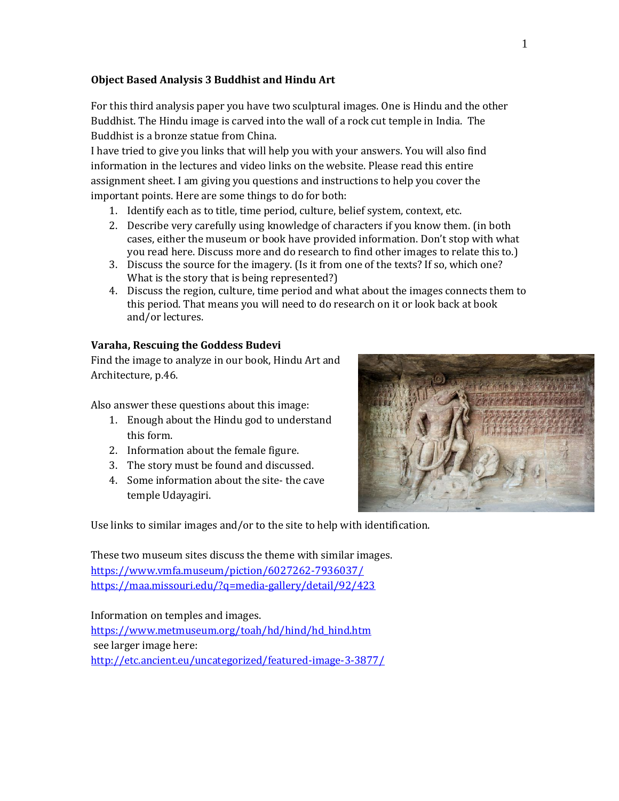#### **Object Based Analysis 3 Buddhist and Hindu Art**

For this third analysis paper you have two sculptural images. One is Hindu and the other Buddhist. The Hindu image is carved into the wall of a rock cut temple in India. The Buddhist is a bronze statue from China.

I have tried to give you links that will help you with your answers. You will also find information in the lectures and video links on the website. Please read this entire assignment sheet. I am giving you questions and instructions to help you cover the important points. Here are some things to do for both:

- 1. Identify each as to title, time period, culture, belief system, context, etc.
- 2. Describe very carefully using knowledge of characters if you know them. (in both cases, either the museum or book have provided information. Don't stop with what you read here. Discuss more and do research to find other images to relate this to.)
- 3. Discuss the source for the imagery. (Is it from one of the texts? If so, which one? What is the story that is being represented?)
- 4. Discuss the region, culture, time period and what about the images connects them to this period. That means you will need to do research on it or look back at book and/or lectures.

### **Varaha, Rescuing the Goddess Budevi**

Find the image to analyze in our book, Hindu Art and Architecture, p.46.

Also answer these questions about this image:

- 1. Enough about the Hindu god to understand this form.
- 2. Information about the female figure.
- 3. The story must be found and discussed.
- 4. Some information about the site- the cave temple Udayagiri.



Use links to similar images and/or to the site to help with identification.

These two museum sites discuss the theme with similar images. <https://www.vmfa.museum/piction/6027262-7936037/> <https://maa.missouri.edu/?q=media-gallery/detail/92/423>

Information on temples and images. [https://www.metmuseum.org/toah/hd/hind/hd\\_hind.htm](https://www.metmuseum.org/toah/hd/hind/hd_hind.htm) see larger image here: <http://etc.ancient.eu/uncategorized/featured-image-3-3877/>